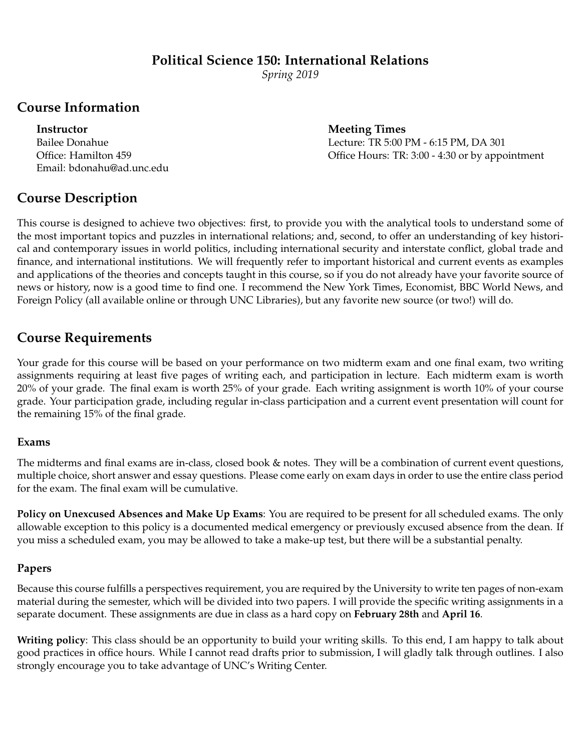#### **Political Science 150: International Relations**

*Spring 2019*

#### **Course Information**

Email: bdonahu@ad.unc.edu

**Instructor** Meeting Times Bailee Donahue Lecture: TR 5:00 PM - 6:15 PM, DA 301 Office: Hamilton 459 Office Hours: TR: 3:00 - 4:30 or by appointment

## **Course Description**

This course is designed to achieve two objectives: first, to provide you with the analytical tools to understand some of the most important topics and puzzles in international relations; and, second, to offer an understanding of key historical and contemporary issues in world politics, including international security and interstate conflict, global trade and finance, and international institutions. We will frequently refer to important historical and current events as examples and applications of the theories and concepts taught in this course, so if you do not already have your favorite source of news or history, now is a good time to find one. I recommend the New York Times, Economist, BBC World News, and Foreign Policy (all available online or through UNC Libraries), but any favorite new source (or two!) will do.

## **Course Requirements**

Your grade for this course will be based on your performance on two midterm exam and one final exam, two writing assignments requiring at least five pages of writing each, and participation in lecture. Each midterm exam is worth 20% of your grade. The final exam is worth 25% of your grade. Each writing assignment is worth 10% of your course grade. Your participation grade, including regular in-class participation and a current event presentation will count for the remaining 15% of the final grade.

#### **Exams**

The midterms and final exams are in-class, closed book & notes. They will be a combination of current event questions, multiple choice, short answer and essay questions. Please come early on exam days in order to use the entire class period for the exam. The final exam will be cumulative.

**Policy on Unexcused Absences and Make Up Exams**: You are required to be present for all scheduled exams. The only allowable exception to this policy is a documented medical emergency or previously excused absence from the dean. If you miss a scheduled exam, you may be allowed to take a make-up test, but there will be a substantial penalty.

#### **Papers**

Because this course fulfills a perspectives requirement, you are required by the University to write ten pages of non-exam material during the semester, which will be divided into two papers. I will provide the specific writing assignments in a separate document. These assignments are due in class as a hard copy on **February 28th** and **April 16**.

**Writing policy**: This class should be an opportunity to build your writing skills. To this end, I am happy to talk about good practices in office hours. While I cannot read drafts prior to submission, I will gladly talk through outlines. I also strongly encourage you to take advantage of UNC's Writing Center.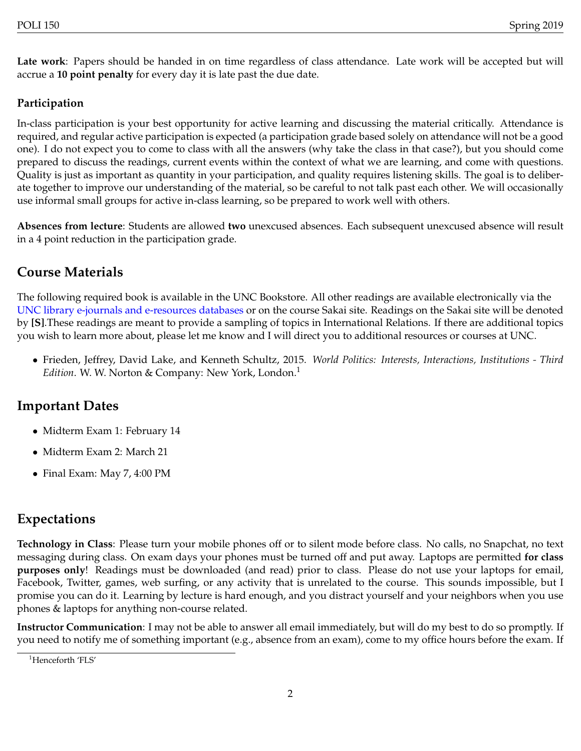**Late work**: Papers should be handed in on time regardless of class attendance. Late work will be accepted but will accrue a **10 point penalty** for every day it is late past the due date.

#### **Participation**

In-class participation is your best opportunity for active learning and discussing the material critically. Attendance is required, and regular active participation is expected (a participation grade based solely on attendance will not be a good one). I do not expect you to come to class with all the answers (why take the class in that case?), but you should come prepared to discuss the readings, current events within the context of what we are learning, and come with questions. Quality is just as important as quantity in your participation, and quality requires listening skills. The goal is to deliberate together to improve our understanding of the material, so be careful to not talk past each other. We will occasionally use informal small groups for active in-class learning, so be prepared to work well with others.

**Absences from lecture**: Students are allowed **two** unexcused absences. Each subsequent unexcused absence will result in a 4 point reduction in the participation grade.

## **Course Materials**

The following required book is available in the UNC Bookstore. All other readings are available electronically via the [UNC library e-journals and e-resources databases](http://www.lib.unc.edu/index.html?searchtab=ejournals) or on the course Sakai site. Readings on the Sakai site will be denoted by **[S]**.These readings are meant to provide a sampling of topics in International Relations. If there are additional topics you wish to learn more about, please let me know and I will direct you to additional resources or courses at UNC.

• Frieden, Jeffrey, David Lake, and Kenneth Schultz, 2015. *World Politics: Interests, Interactions, Institutions - Third Edition*. W. W. Norton & Company: New York, London.<sup>[1](#page-1-0)</sup>

#### **Important Dates**

- Midterm Exam 1: February 14
- Midterm Exam 2: March 21
- Final Exam: May 7, 4:00 PM

#### **Expectations**

**Technology in Class**: Please turn your mobile phones off or to silent mode before class. No calls, no Snapchat, no text messaging during class. On exam days your phones must be turned off and put away. Laptops are permitted **for class purposes only**! Readings must be downloaded (and read) prior to class. Please do not use your laptops for email, Facebook, Twitter, games, web surfing, or any activity that is unrelated to the course. This sounds impossible, but I promise you can do it. Learning by lecture is hard enough, and you distract yourself and your neighbors when you use phones & laptops for anything non-course related.

**Instructor Communication**: I may not be able to answer all email immediately, but will do my best to do so promptly. If you need to notify me of something important (e.g., absence from an exam), come to my office hours before the exam. If

<span id="page-1-0"></span><sup>&</sup>lt;sup>1</sup>Henceforth 'FLS'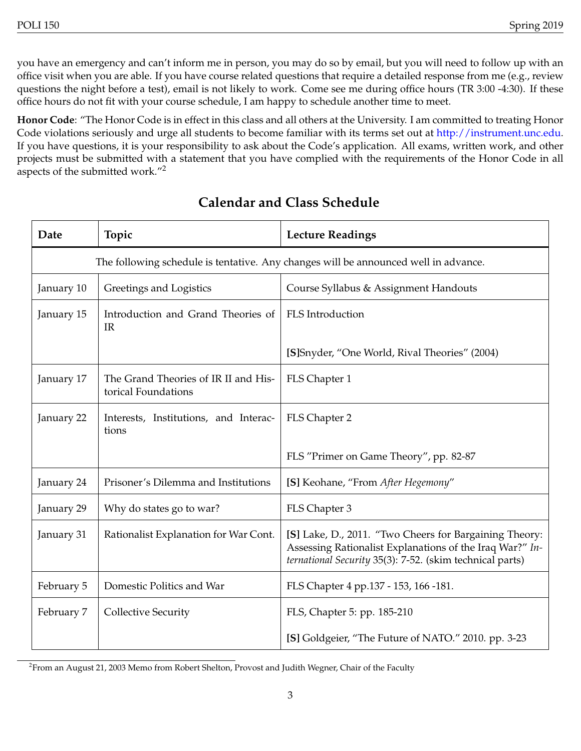you have an emergency and can't inform me in person, you may do so by email, but you will need to follow up with an office visit when you are able. If you have course related questions that require a detailed response from me (e.g., review questions the night before a test), email is not likely to work. Come see me during office hours (TR 3:00 -4:30). If these office hours do not fit with your course schedule, I am happy to schedule another time to meet.

**Honor Code**: "The Honor Code is in effect in this class and all others at the University. I am committed to treating Honor Code violations seriously and urge all students to become familiar with its terms set out at [http://instrument.unc.edu.](http://instrument.unc.edu) If you have questions, it is your responsibility to ask about the Code's application. All exams, written work, and other projects must be submitted with a statement that you have complied with the requirements of the Honor Code in all aspects of the submitted work."[2](#page-2-0)

| Date                                                                                | Topic                                                       | <b>Lecture Readings</b>                                                                                                                                                        |  |  |
|-------------------------------------------------------------------------------------|-------------------------------------------------------------|--------------------------------------------------------------------------------------------------------------------------------------------------------------------------------|--|--|
| The following schedule is tentative. Any changes will be announced well in advance. |                                                             |                                                                                                                                                                                |  |  |
| January 10                                                                          | Greetings and Logistics                                     | Course Syllabus & Assignment Handouts                                                                                                                                          |  |  |
| January 15                                                                          | Introduction and Grand Theories of<br>IR                    | FLS Introduction                                                                                                                                                               |  |  |
|                                                                                     |                                                             | [S]Snyder, "One World, Rival Theories" (2004)                                                                                                                                  |  |  |
| January 17                                                                          | The Grand Theories of IR II and His-<br>torical Foundations | FLS Chapter 1                                                                                                                                                                  |  |  |
| January 22                                                                          | Interests, Institutions, and Interac-<br>tions              | FLS Chapter 2                                                                                                                                                                  |  |  |
|                                                                                     |                                                             | FLS "Primer on Game Theory", pp. 82-87                                                                                                                                         |  |  |
| January 24                                                                          | Prisoner's Dilemma and Institutions                         | [S] Keohane, "From After Hegemony"                                                                                                                                             |  |  |
| January 29                                                                          | Why do states go to war?                                    | FLS Chapter 3                                                                                                                                                                  |  |  |
| January 31                                                                          | Rationalist Explanation for War Cont.                       | [S] Lake, D., 2011. "Two Cheers for Bargaining Theory:<br>Assessing Rationalist Explanations of the Iraq War?" In-<br>ternational Security 35(3): 7-52. (skim technical parts) |  |  |
| February 5                                                                          | Domestic Politics and War                                   | FLS Chapter 4 pp.137 - 153, 166 -181.                                                                                                                                          |  |  |
| February 7                                                                          | <b>Collective Security</b>                                  | FLS, Chapter 5: pp. 185-210                                                                                                                                                    |  |  |
|                                                                                     |                                                             | [S] Goldgeier, "The Future of NATO." 2010. pp. 3-23                                                                                                                            |  |  |

## **Calendar and Class Schedule**

<span id="page-2-0"></span> $^2$ From an August 21, 2003 Memo from Robert Shelton, Provost and Judith Wegner, Chair of the Faculty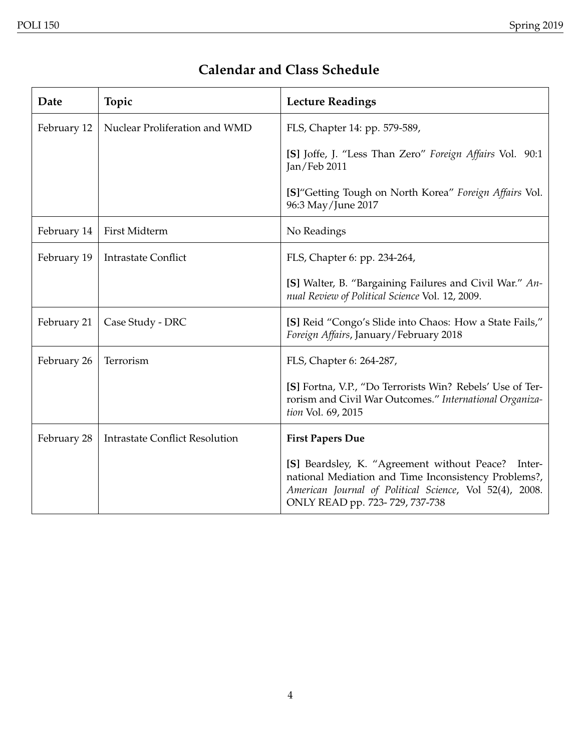# **Calendar and Class Schedule**

| Date        | Topic                                 | <b>Lecture Readings</b>                                                                                                                                                                                    |
|-------------|---------------------------------------|------------------------------------------------------------------------------------------------------------------------------------------------------------------------------------------------------------|
| February 12 | Nuclear Proliferation and WMD         | FLS, Chapter 14: pp. 579-589,                                                                                                                                                                              |
|             |                                       | [S] Joffe, J. "Less Than Zero" Foreign Affairs Vol. 90:1<br>Jan/Feb 2011                                                                                                                                   |
|             |                                       | [S] "Getting Tough on North Korea" Foreign Affairs Vol.<br>96:3 May/June 2017                                                                                                                              |
| February 14 | First Midterm                         | No Readings                                                                                                                                                                                                |
| February 19 | <b>Intrastate Conflict</b>            | FLS, Chapter 6: pp. 234-264,                                                                                                                                                                               |
|             |                                       | [S] Walter, B. "Bargaining Failures and Civil War." An-<br>nual Review of Political Science Vol. 12, 2009.                                                                                                 |
| February 21 | Case Study - DRC                      | [S] Reid "Congo's Slide into Chaos: How a State Fails,"<br>Foreign Affairs, January/February 2018                                                                                                          |
| February 26 | Terrorism                             | FLS, Chapter 6: 264-287,                                                                                                                                                                                   |
|             |                                       | [S] Fortna, V.P., "Do Terrorists Win? Rebels' Use of Ter-<br>rorism and Civil War Outcomes." International Organiza-<br>tion Vol. 69, 2015                                                                 |
| February 28 | <b>Intrastate Conflict Resolution</b> | <b>First Papers Due</b>                                                                                                                                                                                    |
|             |                                       | [S] Beardsley, K. "Agreement without Peace?<br>Inter-<br>national Mediation and Time Inconsistency Problems?,<br>American Journal of Political Science, Vol 52(4), 2008.<br>ONLY READ pp. 723-729, 737-738 |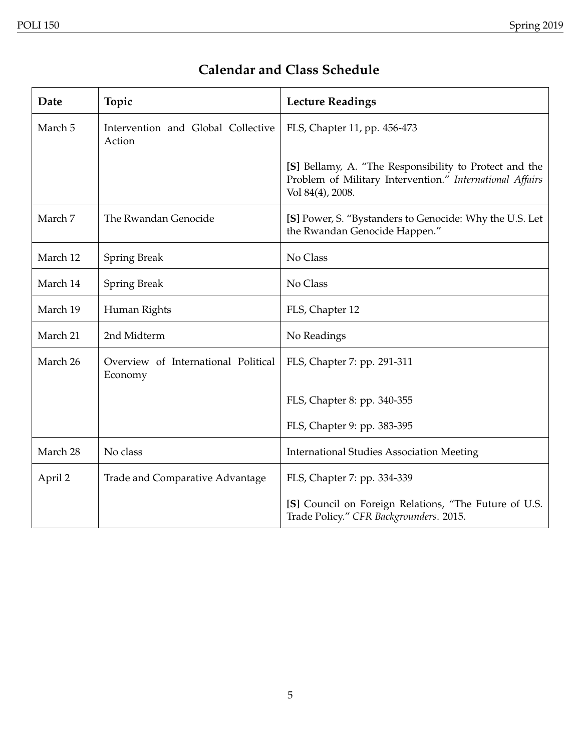# **Calendar and Class Schedule**

| Date     | Topic                                          | <b>Lecture Readings</b>                                                                                                                |
|----------|------------------------------------------------|----------------------------------------------------------------------------------------------------------------------------------------|
| March 5  | Intervention and Global Collective<br>Action   | FLS, Chapter 11, pp. 456-473                                                                                                           |
|          |                                                | [S] Bellamy, A. "The Responsibility to Protect and the<br>Problem of Military Intervention." International Affairs<br>Vol 84(4), 2008. |
| March 7  | The Rwandan Genocide                           | [S] Power, S. "Bystanders to Genocide: Why the U.S. Let<br>the Rwandan Genocide Happen."                                               |
| March 12 | <b>Spring Break</b>                            | No Class                                                                                                                               |
| March 14 | <b>Spring Break</b>                            | No Class                                                                                                                               |
| March 19 | Human Rights                                   | FLS, Chapter 12                                                                                                                        |
| March 21 | 2nd Midterm                                    | No Readings                                                                                                                            |
| March 26 | Overview of International Political<br>Economy | FLS, Chapter 7: pp. 291-311                                                                                                            |
|          |                                                | FLS, Chapter 8: pp. 340-355                                                                                                            |
|          |                                                | FLS, Chapter 9: pp. 383-395                                                                                                            |
| March 28 | No class                                       | <b>International Studies Association Meeting</b>                                                                                       |
| April 2  | Trade and Comparative Advantage                | FLS, Chapter 7: pp. 334-339                                                                                                            |
|          |                                                | [S] Council on Foreign Relations, "The Future of U.S.<br>Trade Policy." CFR Backgrounders. 2015.                                       |